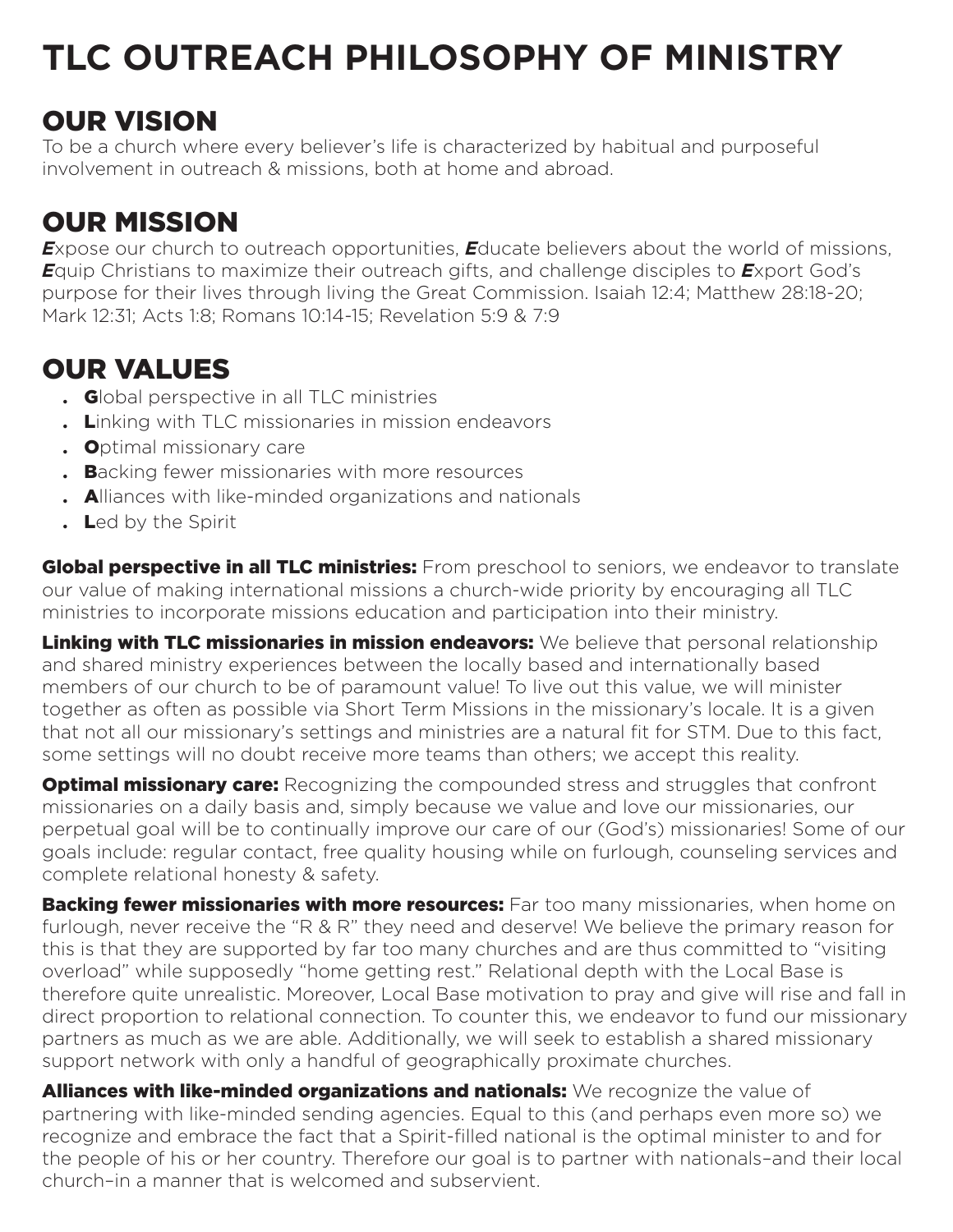# **TLC OUTREACH PHILOSOPHY OF MINISTRY**

## OUR VISION

To be a church where every believer's life is characterized by habitual and purposeful involvement in outreach & missions, both at home and abroad.

# OUR MISSION

**Expose our church to outreach opportunities, Educate believers about the world of missions,** *E*quip Christians to maximize their outreach gifts, and challenge disciples to *E*xport God's purpose for their lives through living the Great Commission. Isaiah 12:4; Matthew 28:18-20; Mark 12:31; Acts 1:8; Romans 10:14-15; Revelation 5:9 & 7:9

## OUR VALUES

- . Global perspective in all TLC ministries
- . Linking with TLC missionaries in mission endeavors
- . Optimal missionary care
- **Backing fewer missionaries with more resources**
- . Alliances with like-minded organizations and nationals
- . Led by the Spirit

**Global perspective in all TLC ministries:** From preschool to seniors, we endeavor to translate our value of making international missions a church-wide priority by encouraging all TLC ministries to incorporate missions education and participation into their ministry.

Linking with TLC missionaries in mission endeavors: We believe that personal relationship and shared ministry experiences between the locally based and internationally based members of our church to be of paramount value! To live out this value, we will minister together as often as possible via Short Term Missions in the missionary's locale. It is a given that not all our missionary's settings and ministries are a natural fit for STM. Due to this fact, some settings will no doubt receive more teams than others; we accept this reality.

**Optimal missionary care:** Recognizing the compounded stress and struggles that confront missionaries on a daily basis and, simply because we value and love our missionaries, our perpetual goal will be to continually improve our care of our (God's) missionaries! Some of our goals include: regular contact, free quality housing while on furlough, counseling services and complete relational honesty & safety.

**Backing fewer missionaries with more resources:** Far too many missionaries, when home on furlough, never receive the "R & R" they need and deserve! We believe the primary reason for this is that they are supported by far too many churches and are thus committed to "visiting overload" while supposedly "home getting rest." Relational depth with the Local Base is therefore quite unrealistic. Moreover, Local Base motivation to pray and give will rise and fall in direct proportion to relational connection. To counter this, we endeavor to fund our missionary partners as much as we are able. Additionally, we will seek to establish a shared missionary support network with only a handful of geographically proximate churches.

Alliances with like-minded organizations and nationals: We recognize the value of partnering with like-minded sending agencies. Equal to this (and perhaps even more so) we recognize and embrace the fact that a Spirit-filled national is the optimal minister to and for the people of his or her country. Therefore our goal is to partner with nationals–and their local church–in a manner that is welcomed and subservient.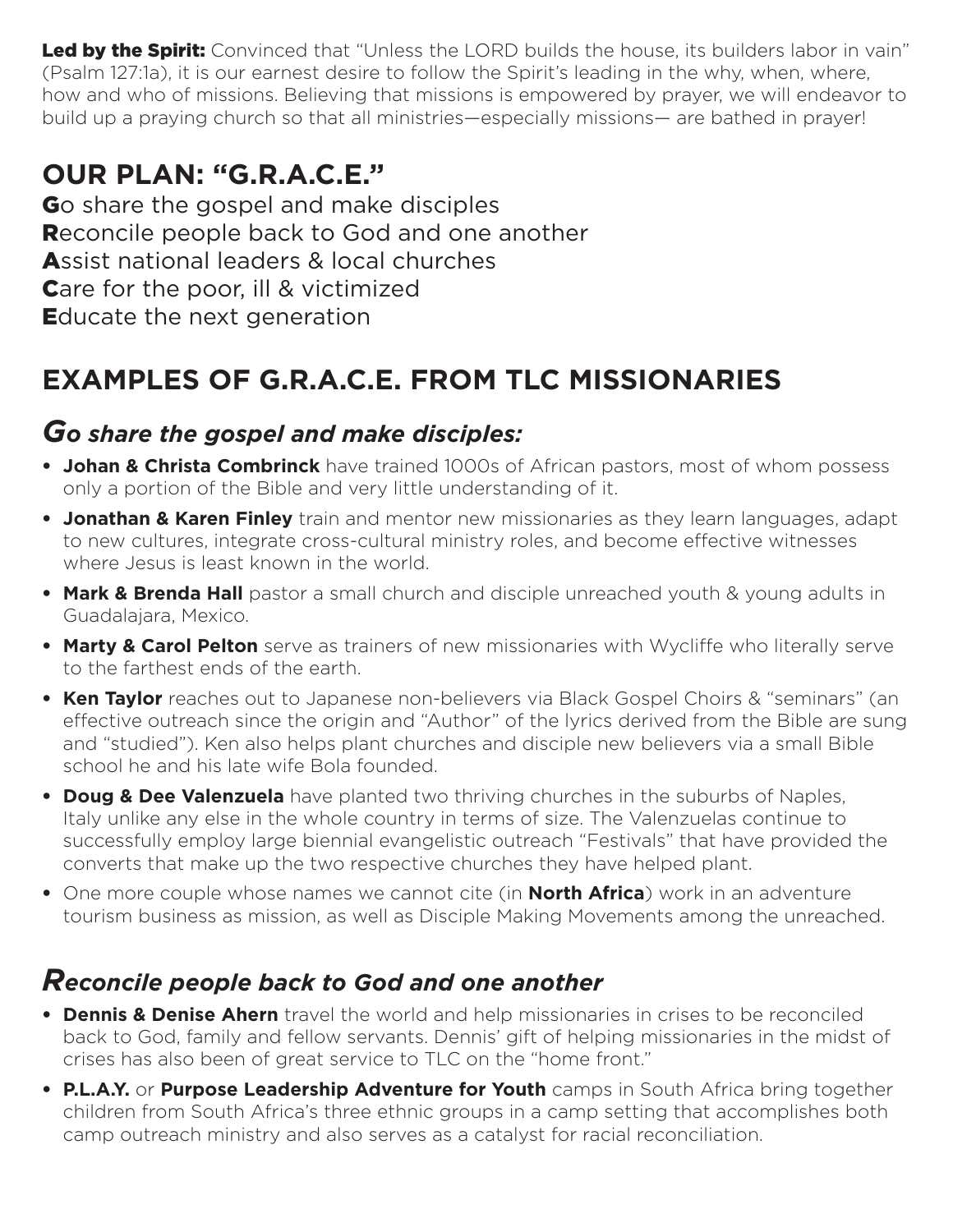Led by the Spirit: Convinced that "Unless the LORD builds the house, its builders labor in vain" (Psalm 127:1a), it is our earnest desire to follow the Spirit's leading in the why, when, where, how and who of missions. Believing that missions is empowered by prayer, we will endeavor to build up a praying church so that all ministries—especially missions— are bathed in prayer!

### **OUR PLAN: "G.R.A.C.E."**

Go share the gospel and make disciples Reconcile people back to God and one another Assist national leaders & local churches Care for the poor, ill & victimized Educate the next generation

# **EXAMPLES OF G.R.A.C.E. FROM TLC MISSIONARIES**

#### *Go share the gospel and make disciples:*

- **Johan & Christa Combrinck** have trained 1000s of African pastors, most of whom possess only a portion of the Bible and very little understanding of it.
- **Jonathan & Karen Finley** train and mentor new missionaries as they learn languages, adapt to new cultures, integrate cross-cultural ministry roles, and become effective witnesses where Jesus is least known in the world.
- **Mark & Brenda Hall** pastor a small church and disciple unreached youth & young adults in Guadalajara, Mexico.
- **Marty & Carol Pelton** serve as trainers of new missionaries with Wycliffe who literally serve to the farthest ends of the earth.
- **Ken Taylor** reaches out to Japanese non-believers via Black Gospel Choirs & "seminars" (an effective outreach since the origin and "Author" of the lyrics derived from the Bible are sung and "studied"). Ken also helps plant churches and disciple new believers via a small Bible school he and his late wife Bola founded.
- **Doug & Dee Valenzuela** have planted two thriving churches in the suburbs of Naples, Italy unlike any else in the whole country in terms of size. The Valenzuelas continue to successfully employ large biennial evangelistic outreach "Festivals" that have provided the converts that make up the two respective churches they have helped plant.
- One more couple whose names we cannot cite (in **North Africa**) work in an adventure tourism business as mission, as well as Disciple Making Movements among the unreached.

#### *Reconcile people back to God and one another*

- **Dennis & Denise Ahern** travel the world and help missionaries in crises to be reconciled back to God, family and fellow servants. Dennis' gift of helping missionaries in the midst of crises has also been of great service to TLC on the "home front."
- **P.L.A.Y.** or **Purpose Leadership Adventure for Youth** camps in South Africa bring together children from South Africa's three ethnic groups in a camp setting that accomplishes both camp outreach ministry and also serves as a catalyst for racial reconciliation.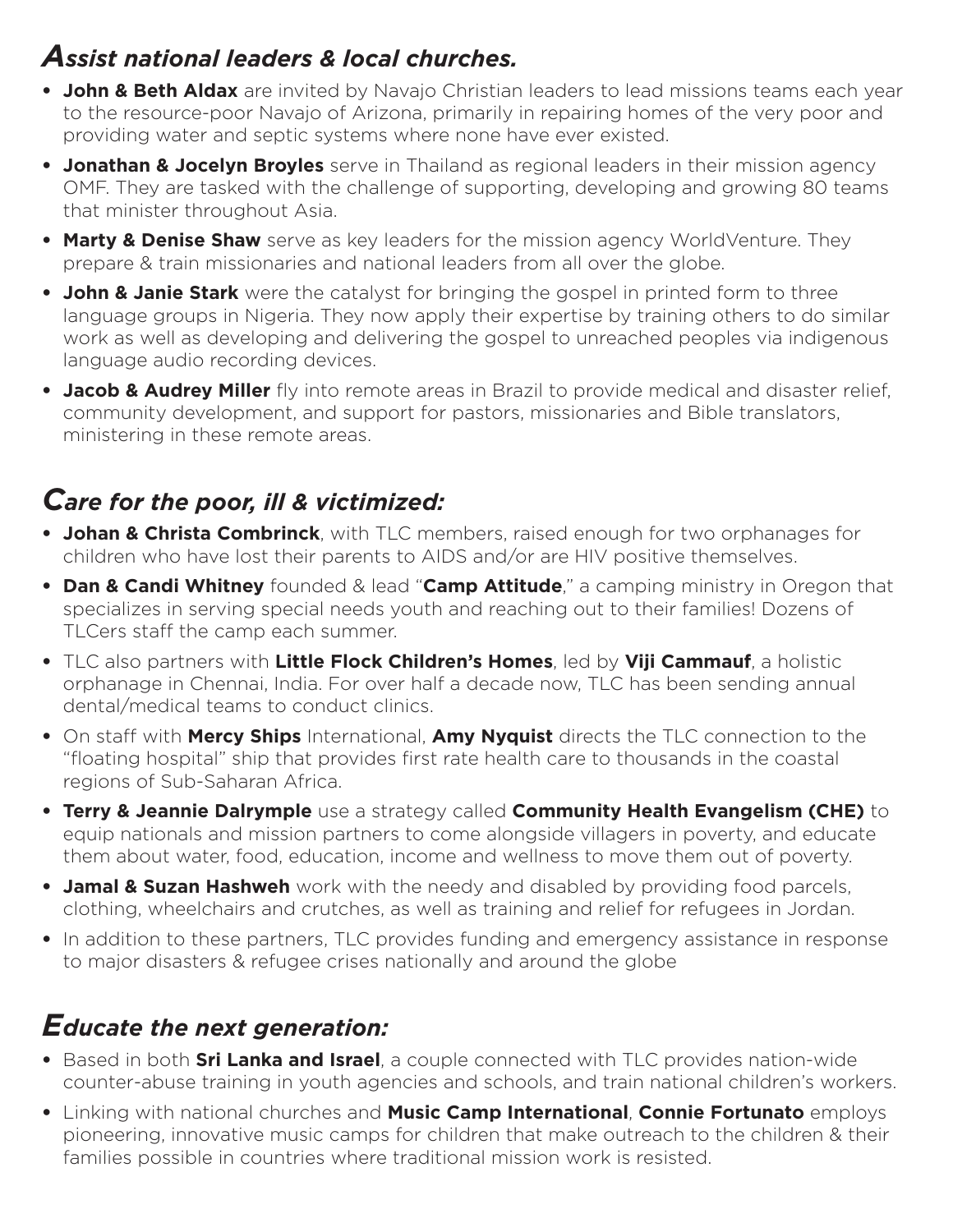### *Assist national leaders & local churches.*

- **John & Beth Aldax** are invited by Navajo Christian leaders to lead missions teams each year to the resource-poor Navajo of Arizona, primarily in repairing homes of the very poor and providing water and septic systems where none have ever existed.
- **Jonathan & Jocelyn Broyles** serve in Thailand as regional leaders in their mission agency OMF. They are tasked with the challenge of supporting, developing and growing 80 teams that minister throughout Asia.
- **Marty & Denise Shaw** serve as key leaders for the mission agency WorldVenture. They prepare & train missionaries and national leaders from all over the globe.
- **John & Janie Stark** were the catalyst for bringing the gospel in printed form to three language groups in Nigeria. They now apply their expertise by training others to do similar work as well as developing and delivering the gospel to unreached peoples via indigenous language audio recording devices.
- **Jacob & Audrey Miller** fly into remote areas in Brazil to provide medical and disaster relief, community development, and support for pastors, missionaries and Bible translators, ministering in these remote areas.

### *Care for the poor, ill & victimized:*

- **Johan & Christa Combrinck**, with TLC members, raised enough for two orphanages for children who have lost their parents to AIDS and/or are HIV positive themselves.
- **Dan & Candi Whitney** founded & lead "**Camp Attitude**," a camping ministry in Oregon that specializes in serving special needs youth and reaching out to their families! Dozens of TLCers staff the camp each summer.
- TLC also partners with **Little Flock Children's Homes**, led by **Viji Cammauf**, a holistic orphanage in Chennai, India. For over half a decade now, TLC has been sending annual dental/medical teams to conduct clinics.
- On staff with **Mercy Ships** International, **Amy Nyquist** directs the TLC connection to the "floating hospital" ship that provides first rate health care to thousands in the coastal regions of Sub-Saharan Africa.
- **Terry & Jeannie Dalrymple** use a strategy called **Community Health Evangelism (CHE)** to equip nationals and mission partners to come alongside villagers in poverty, and educate them about water, food, education, income and wellness to move them out of poverty.
- **Jamal & Suzan Hashweh** work with the needy and disabled by providing food parcels, clothing, wheelchairs and crutches, as well as training and relief for refugees in Jordan.
- In addition to these partners, TLC provides funding and emergency assistance in response to major disasters & refugee crises nationally and around the globe

### *Educate the next generation:*

- Based in both **Sri Lanka and Israel**, a couple connected with TLC provides nation-wide counter-abuse training in youth agencies and schools, and train national children's workers.
- Linking with national churches and **Music Camp International**, **Connie Fortunato** employs pioneering, innovative music camps for children that make outreach to the children & their families possible in countries where traditional mission work is resisted.